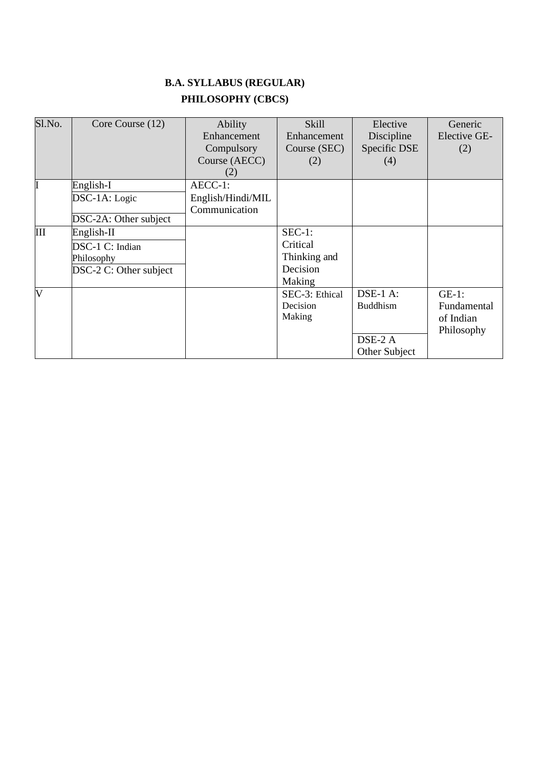# **B.A. SYLLABUS (REGULAR) PHILOSOPHY (CBCS)**

| Sl.No. | Core Course (12)                                        | <b>Ability</b><br>Enhancement<br>Compulsory<br>Course (AECC)<br>(2) | <b>Skill</b><br>Enhancement<br>Course (SEC)<br>(2) | Elective<br>Discipline<br>Specific DSE<br>(4)             | Generic<br>Elective GE-<br>(2)                     |
|--------|---------------------------------------------------------|---------------------------------------------------------------------|----------------------------------------------------|-----------------------------------------------------------|----------------------------------------------------|
|        | English-I                                               | AECC-1:                                                             |                                                    |                                                           |                                                    |
|        | DSC-1A: Logic<br>DSC-2A: Other subject                  | English/Hindi/MIL<br>Communication                                  |                                                    |                                                           |                                                    |
| Ш      | English-II                                              |                                                                     | $SEC-1:$                                           |                                                           |                                                    |
|        | DSC-1 C: Indian<br>Philosophy<br>DSC-2 C: Other subject |                                                                     | Critical<br>Thinking and<br>Decision<br>Making     |                                                           |                                                    |
| V      |                                                         |                                                                     | SEC-3: Ethical<br>Decision<br>Making               | $DSE-1$ A:<br><b>Buddhism</b><br>DSE-2 A<br>Other Subject | $GE-1$ :<br>Fundamental<br>of Indian<br>Philosophy |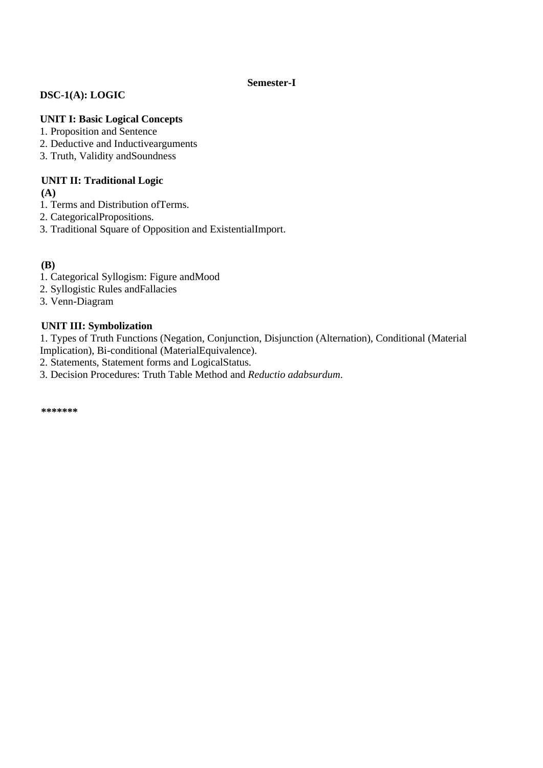## **Semester-I**

# **DSC-1(A): LOGIC**

## **UNIT I: Basic Logical Concepts**

- 1. Proposition and Sentence
- 2. Deductive and Inductivearguments
- 3. Truth, Validity andSoundness

## **UNIT II: Traditional Logic**

**(A)**

- 1. Terms and Distribution ofTerms.
- 2. CategoricalPropositions.
- 3. Traditional Square of Opposition and ExistentialImport.

## **(B)**

- 1. Categorical Syllogism: Figure andMood
- 2. Syllogistic Rules andFallacies
- 3. Venn-Diagram

## **UNIT III: Symbolization**

1. Types of Truth Functions (Negation, Conjunction, Disjunction (Alternation), Conditional (Material Implication), Bi-conditional (MaterialEquivalence).

- 2. Statements, Statement forms and LogicalStatus.
- 3. Decision Procedures: Truth Table Method and *Reductio adabsurdum*.

**\*\*\*\*\*\*\***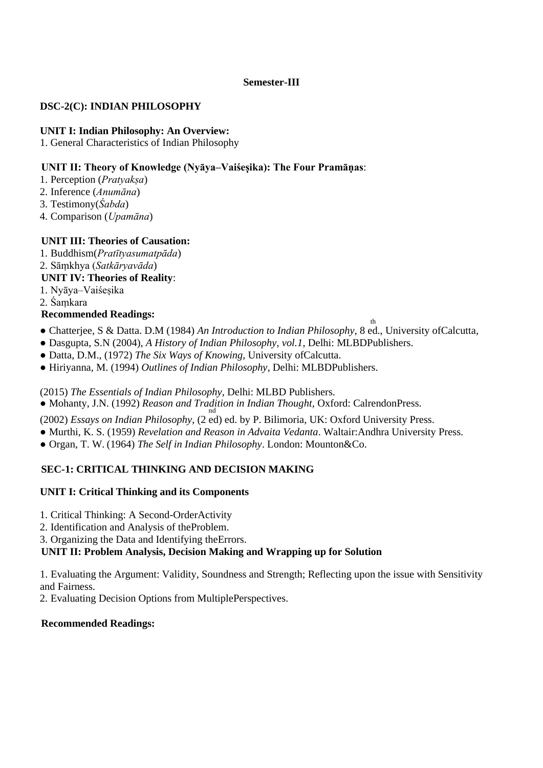## **Semester-III**

## **DSC-2(C): INDIAN PHILOSOPHY**

## **UNIT I: Indian Philosophy: An Overview:**

1. General Characteristics of Indian Philosophy

## **UNIT II: Theory of Knowledge (Nyāya–Vaiśeṣika): The Four Pramāṇas**:

- 1. Perception (*Pratyakṣa*)
- 2. Inference (*Anumāna*)
- 3. Testimony(*Śabda*)
- 4. Comparison (*Upamāna*)

## **UNIT III: Theories of Causation:**

- 1. Buddhism(*Pratītyasumatpāda*)
- 2. Sāṃkhya (*Satkāryavāda*)

## **UNIT IV: Theories of Reality**:

1. Nyāya–Vaiśeṣika

2. Śaṃkara

## **Recommended Readings:**

● Chatterjee, S & Datta. D.M (1984) *An Introduction to Indian Philosophy*, 8 ed., University ofCalcutta,

th

- Dasgupta, S.N (2004), *A History of Indian Philosophy, vol.1*, Delhi: MLBDPublishers.
- Datta, D.M., (1972) *The Six Ways of Knowing*, University ofCalcutta.
- Hiriyanna, M. (1994) *Outlines of Indian Philosophy*, Delhi: MLBDPublishers.

(2015) *The Essentials of Indian Philosophy*, Delhi: MLBD Publishers.

• Mohanty, J.N. (1992) *Reason and Tradition in Indian Thought*, Oxford: CalrendonPress.

(2002) *Essays on Indian Philosophy*, (2 ed) ed. by P. Bilimoria, UK: Oxford University Press.

- Murthi, K. S. (1959) *Revelation and Reason in Advaita Vedanta*. Waltair:Andhra University Press.
- Organ, T. W. (1964) *The Self in Indian Philosophy*. London: Mounton&Co.

# **SEC-1: CRITICAL THINKING AND DECISION MAKING**

## **UNIT I: Critical Thinking and its Components**

- 1. Critical Thinking: A Second-OrderActivity
- 2. Identification and Analysis of theProblem.

3. Organizing the Data and Identifying theErrors.

# **UNIT II: Problem Analysis, Decision Making and Wrapping up for Solution**

1. Evaluating the Argument: Validity, Soundness and Strength; Reflecting upon the issue with Sensitivity and Fairness.

2. Evaluating Decision Options from MultiplePerspectives.

# **Recommended Readings:**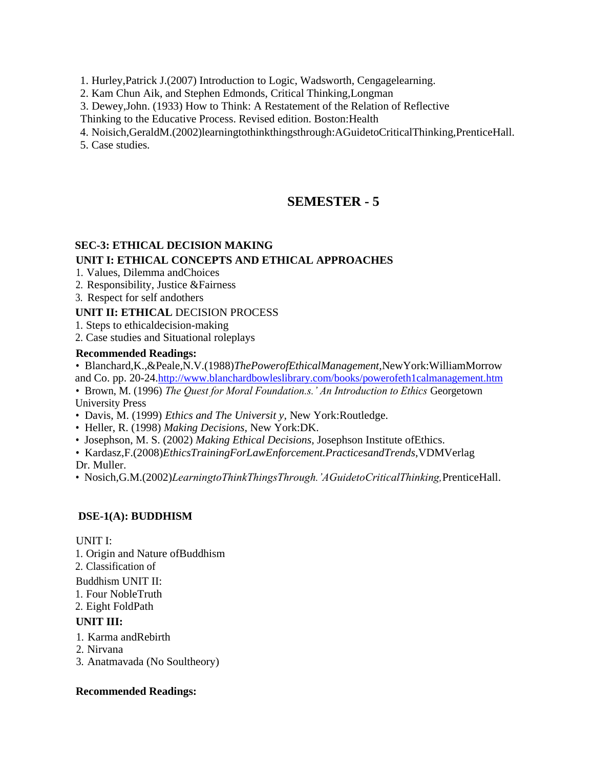1. Hurley,Patrick J.(2007) Introduction to Logic, Wadsworth, Cengagelearning.

2. Kam Chun Aik, and Stephen Edmonds, Critical Thinking,Longman

3. Dewey,John. (1933) How to Think: A Restatement of the Relation of Reflective

Thinking to the Educative Process. Revised edition. Boston:Health

4. Noisich,GeraldM.(2002)learningtothinkthingsthrough:AGuidetoCriticalThinking,PrenticeHall.

5. Case studies.

# **SEMESTER - 5**

## **SEC-3: ETHICAL DECISION MAKING**

## **UNIT I: ETHICAL CONCEPTS AND ETHICAL APPROACHES**

- 1. Values, Dilemma andChoices
- 2. Responsibility, Justice &Fairness
- 3. Respect for self andothers

### **UNIT II: ETHICAL** DECISION PROCESS

- 1. Steps to ethicaldecision-making
- 2. Case studies and Situational roleplays

### **Recommended Readings:**

- Blanchard,K.,&Peale,N.V.(1988)*ThePowerofEthicalManagement,*NewYork:WilliamMorrow and Co. pp. 20-24.<http://www.blanchardbowleslibrary.com/books/powerofeth1calmanagement.htm>
- Brown, M. (1996) *The Quest for Moral Foundation s.' An Introduction to Ethics Georgetown* University Press
- Davis, M. (1999) *Ethics and The Universit y,* New York:Routledge.
- Heller, R. (1998) *Making Decisions,* New York:DK.
- Josephson, M. S. (2002) *Making Ethical Decisions,* Josephson Institute ofEthics.

• Kardasz,F.(2008)*EthicsTrainingForLawEnforcement.PracticesandTrends,*VDMVerlag Dr. Muller.

• Nosich,G.M.(2002)*LearningtoThinkThingsThrough.'AGuidetoCriticalThinking,*PrenticeHall.

## **DSE-1(A): BUDDHISM**

### UNIT I:

- 1. Origin and Nature ofBuddhism
- 2. Classification of

Buddhism UNIT II:

- 1. Four NobleTruth
- 2. Eight FoldPath

## **UNIT III:**

- 1. Karma andRebirth
- 2. Nirvana
- 3. Anatmavada (No Soultheory)

## **Recommended Readings:**